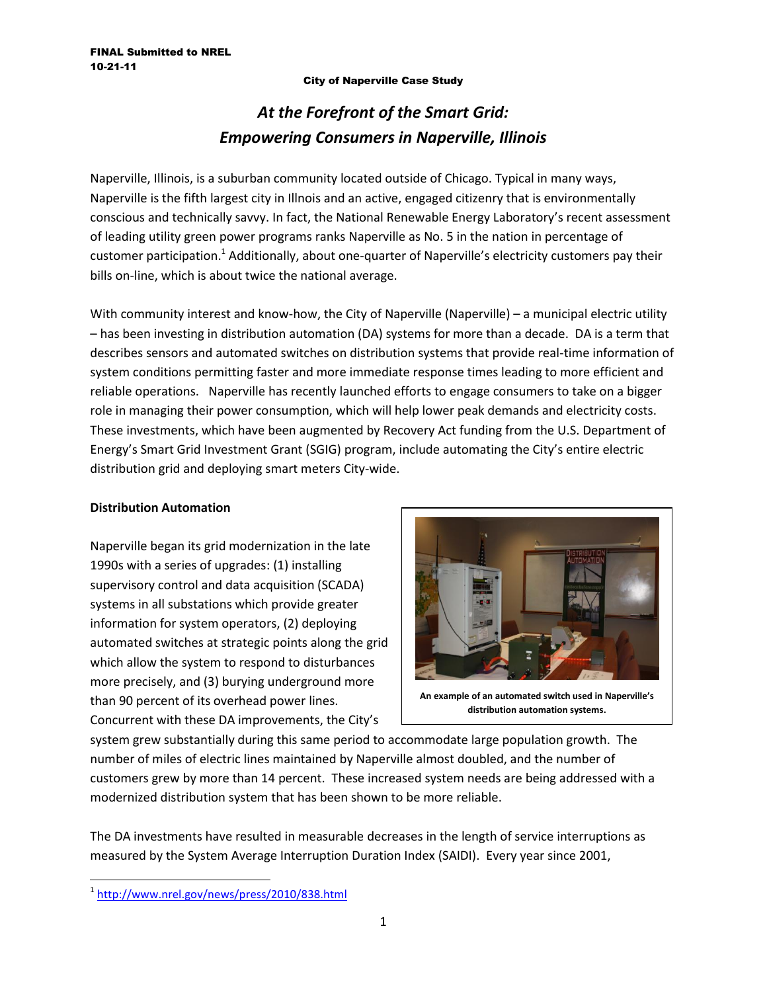### City of Naperville Case Study

# *At the Forefront of the Smart Grid: Empowering Consumers in Naperville, Illinois*

Naperville, Illinois, is a suburban community located outside of Chicago. Typical in many ways, Naperville is the fifth largest city in Illnois and an active, engaged citizenry that is environmentally conscious and technically savvy. In fact, the National Renewable Energy Laboratory's recent assessment of leading utility green power programs ranks Naperville as No. 5 in the nation in percentage of customer participation.<sup>1</sup> Additionally, about one-quarter of Naperville's electricity customers pay their bills on-line, which is about twice the national average.

With community interest and know-how, the City of Naperville (Naperville) – a municipal electric utility – has been investing in distribution automation (DA) systems for more than a decade. DA is a term that describes sensors and automated switches on distribution systems that provide real-time information of system conditions permitting faster and more immediate response times leading to more efficient and reliable operations. Naperville has recently launched efforts to engage consumers to take on a bigger role in managing their power consumption, which will help lower peak demands and electricity costs. These investments, which have been augmented by Recovery Act funding from the U.S. Department of Energy's Smart Grid Investment Grant (SGIG) program, include automating the City's entire electric distribution grid and deploying smart meters City-wide.

## **Distribution Automation**

Naperville began its grid modernization in the late 1990s with a series of upgrades: (1) installing supervisory control and data acquisition (SCADA) systems in all substations which provide greater information for system operators, (2) deploying automated switches at strategic points along the grid which allow the system to respond to disturbances more precisely, and (3) burying underground more than 90 percent of its overhead power lines. Concurrent with these DA improvements, the City's



**An example of an automated switch used in Naperville's distribution automation systems.**

system grew substantially during this same period to accommodate large population growth. The number of miles of electric lines maintained by Naperville almost doubled, and the number of customers grew by more than 14 percent. These increased system needs are being addressed with a modernized distribution system that has been shown to be more reliable.

The DA investments have resulted in measurable decreases in the length of service interruptions as measured by the System Average Interruption Duration Index (SAIDI). Every year since 2001,

 $\overline{\phantom{a}}$ 

<sup>1</sup> <http://www.nrel.gov/news/press/2010/838.html>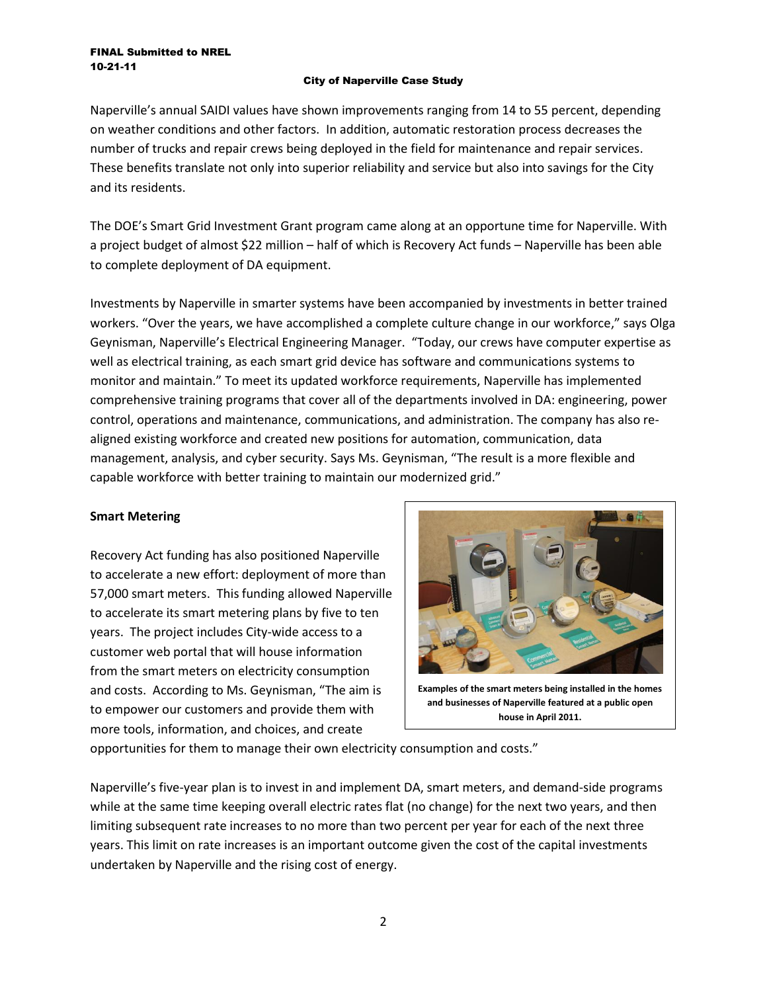#### FINAL Submitted to NREL 10-21-11

## City of Naperville Case Study

Naperville's annual SAIDI values have shown improvements ranging from 14 to 55 percent, depending on weather conditions and other factors. In addition, automatic restoration process decreases the number of trucks and repair crews being deployed in the field for maintenance and repair services. These benefits translate not only into superior reliability and service but also into savings for the City and its residents.

The DOE's Smart Grid Investment Grant program came along at an opportune time for Naperville. With a project budget of almost \$22 million – half of which is Recovery Act funds – Naperville has been able to complete deployment of DA equipment.

Investments by Naperville in smarter systems have been accompanied by investments in better trained workers. "Over the years, we have accomplished a complete culture change in our workforce," says Olga Geynisman, Naperville's Electrical Engineering Manager. "Today, our crews have computer expertise as well as electrical training, as each smart grid device has software and communications systems to monitor and maintain." To meet its updated workforce requirements, Naperville has implemented comprehensive training programs that cover all of the departments involved in DA: engineering, power control, operations and maintenance, communications, and administration. The company has also realigned existing workforce and created new positions for automation, communication, data management, analysis, and cyber security. Says Ms. Geynisman, "The result is a more flexible and capable workforce with better training to maintain our modernized grid."

# **Smart Metering**

Recovery Act funding has also positioned Naperville to accelerate a new effort: deployment of more than 57,000 smart meters. This funding allowed Naperville to accelerate its smart metering plans by five to ten years. The project includes City-wide access to a customer web portal that will house information from the smart meters on electricity consumption and costs. According to Ms. Geynisman, "The aim is to empower our customers and provide them with more tools, information, and choices, and create



**Examples of the smart meters being installed in the homes and businesses of Naperville featured at a public open house in April 2011.**

opportunities for them to manage their own electricity consumption and costs."

Naperville's five-year plan is to invest in and implement DA, smart meters, and demand-side programs while at the same time keeping overall electric rates flat (no change) for the next two years, and then limiting subsequent rate increases to no more than two percent per year for each of the next three years. This limit on rate increases is an important outcome given the cost of the capital investments undertaken by Naperville and the rising cost of energy.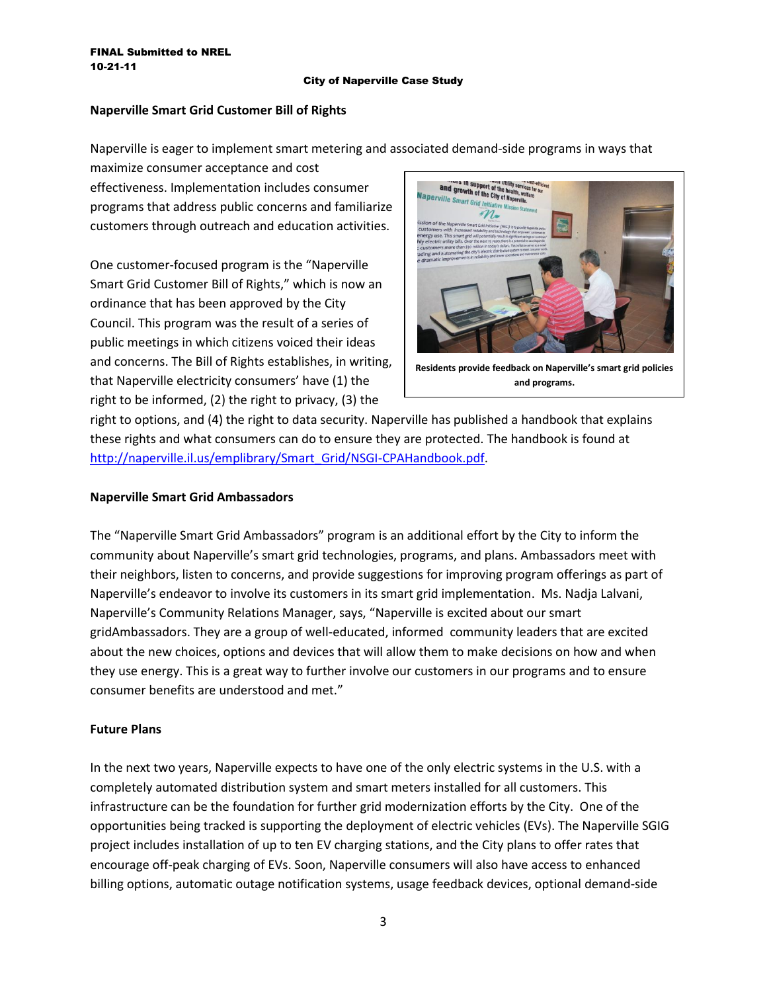#### City of Naperville Case Study

# **Naperville Smart Grid Customer Bill of Rights**

Naperville is eager to implement smart metering and associated demand-side programs in ways that

maximize consumer acceptance and cost effectiveness. Implementation includes consumer programs that address public concerns and familiarize customers through outreach and education activities.

One customer-focused program is the "Naperville Smart Grid Customer Bill of Rights," which is now an ordinance that has been approved by the City Council. This program was the result of a series of public meetings in which citizens voiced their ideas and concerns. The Bill of Rights establishes, in writing, that Naperville electricity consumers' have (1) the right to be informed, (2) the right to privacy, (3) the



**Residents provide feedback on Naperville's smart grid policies and programs.**

right to options, and (4) the right to data security. Naperville has published a handbook that explains these rights and what consumers can do to ensure they are protected. The handbook is found at [http://naperville.il.us/emplibrary/Smart\\_Grid/NSGI-CPAHandbook.pdf.](http://naperville.il.us/emplibrary/Smart_Grid/NSGI-CPAHandbook.pdf)

## **Naperville Smart Grid Ambassadors**

The "Naperville Smart Grid Ambassadors" program is an additional effort by the City to inform the community about Naperville's smart grid technologies, programs, and plans. Ambassadors meet with their neighbors, listen to concerns, and provide suggestions for improving program offerings as part of Naperville's endeavor to involve its customers in its smart grid implementation. Ms. Nadja Lalvani, Naperville's Community Relations Manager, says, "Naperville is excited about our smart gridAmbassadors. They are a group of well-educated, informed community leaders that are excited about the new choices, options and devices that will allow them to make decisions on how and when they use energy. This is a great way to further involve our customers in our programs and to ensure consumer benefits are understood and met."

## **Future Plans**

In the next two years, Naperville expects to have one of the only electric systems in the U.S. with a completely automated distribution system and smart meters installed for all customers. This infrastructure can be the foundation for further grid modernization efforts by the City. One of the opportunities being tracked is supporting the deployment of electric vehicles (EVs). The Naperville SGIG project includes installation of up to ten EV charging stations, and the City plans to offer rates that encourage off-peak charging of EVs. Soon, Naperville consumers will also have access to enhanced billing options, automatic outage notification systems, usage feedback devices, optional demand-side